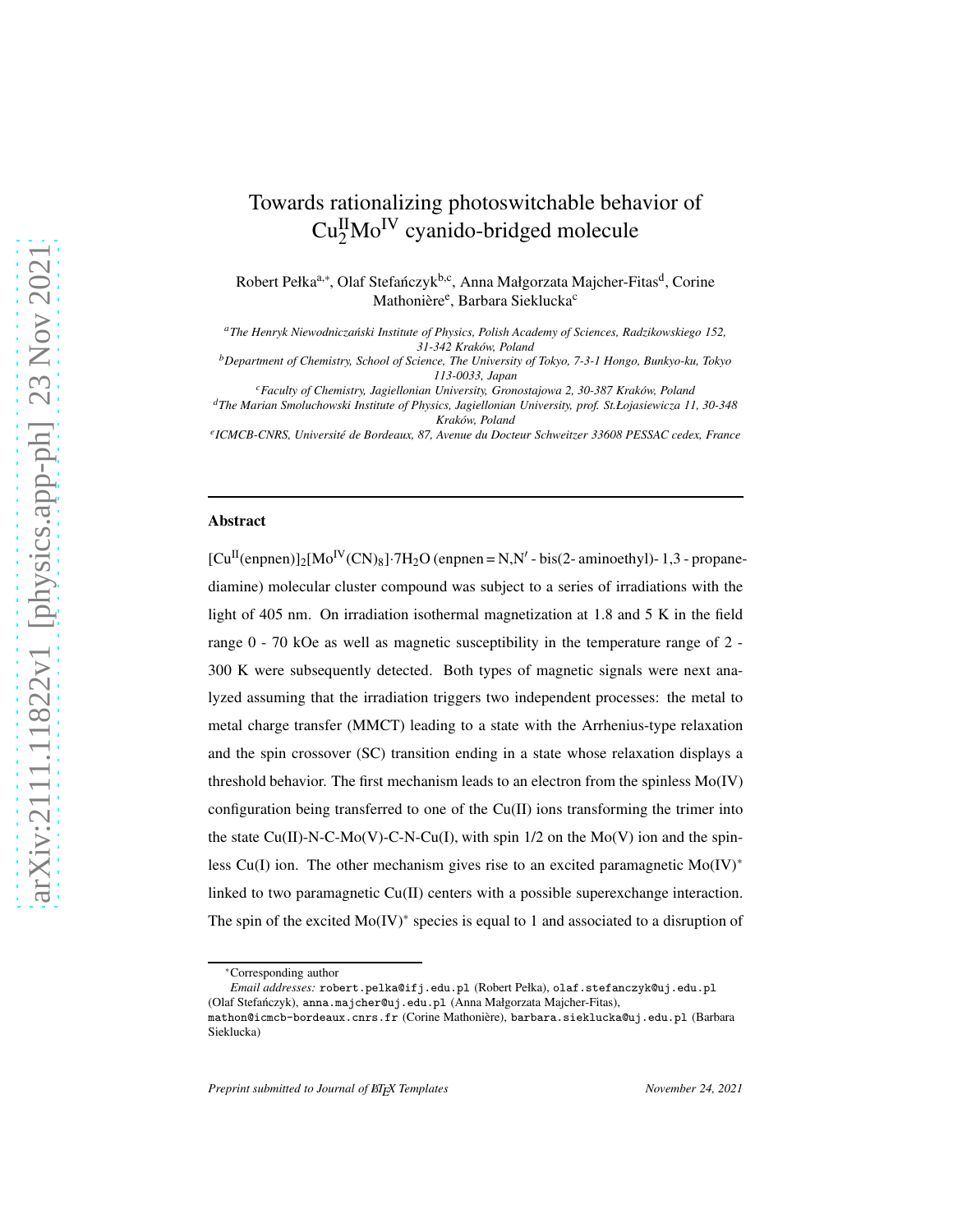# $\text{Cu}_2^{\text{II}}\text{Mo}^{\text{IV}}$  cyanido-bridged molecule Robert Pełka<sup>a,∗</sup>, Olaf Stefańczyk<sup>b,c</sup>, Anna Małgorzata Majcher-Fitas<sup>d</sup>, Corine Mathonière<sup>e</sup>, Barbara Sieklucka<sup>c</sup> *<sup>a</sup>The Henryk Niewodnicza´nski Institute of Physics, Polish Academy of Sciences, Radzikowskiego 152,*

*31-342 Krak´ow, Poland <sup>b</sup>Department of Chemistry, School of Science, The University of Tokyo, 7-3-1 Hongo, Bunkyo-ku, Tokyo*

Towards rationalizing photoswitchable behavior of

*113-0033, Japan*

*<sup>c</sup>Faculty of Chemistry, Jagiellonian University, Gronostajowa 2, 30-387 Krak´ow, Poland <sup>d</sup>The Marian Smoluchowski Institute of Physics, Jagiellonian University, prof. St.Łojasiewicza 11, 30-348 Krak´ow, Poland*

*e ICMCB-CNRS, Universit´e de Bordeaux, 87, Avenue du Docteur Schweitzer 33608 PESSAC cedex, France*

## Abstract

 $[Cu^{II}(\text{enphen})]_2[Mo^{IV}(CN)_8]\cdot 7H_2O(\text{enphen} = N, N'-bis(2-aminoethyl)-1,3-propane$ diamine) molecular cluster compound was subject to a series of irradiations with the light of 405 nm. On irradiation isothermal magnetization at 1.8 and 5 K in the field range 0 - 70 kOe as well as magnetic susceptibility in the temperature range of 2 - 300 K were subsequently detected. Both types of magnetic signals were next analyzed assuming that the irradiation triggers two independent processes: the metal to metal charge transfer (MMCT) leading to a state with the Arrhenius-type relaxation and the spin crossover (SC) transition ending in a state whose relaxation displays a threshold behavior. The first mechanism leads to an electron from the spinless Mo(IV) configuration being transferred to one of the Cu(II) ions transforming the trimer into the state Cu(II)-N-C-Mo(V)-C-N-Cu(I), with spin  $1/2$  on the Mo(V) ion and the spinless Cu(I) ion. The other mechanism gives rise to an excited paramagnetic Mo(IV)<sup>∗</sup> linked to two paramagnetic  $Cu(II)$  centers with a possible superexchange interaction. The spin of the excited Mo(IV)<sup>∗</sup> species is equal to 1 and associated to a disruption of

*Email addresses:* robert.pelka@ifj.edu.pl (Robert Pełka), olaf.stefanczyk@uj.edu.pl (Olaf Stefańczyk), anna.majcher@uj.edu.pl (Anna Małgorzata Majcher-Fitas), mathon@icmcb-bordeaux.cnrs.fr (Corine Mathonière), barbara.sieklucka@uj.edu.pl (Barbara Sieklucka)

<sup>∗</sup>Corresponding author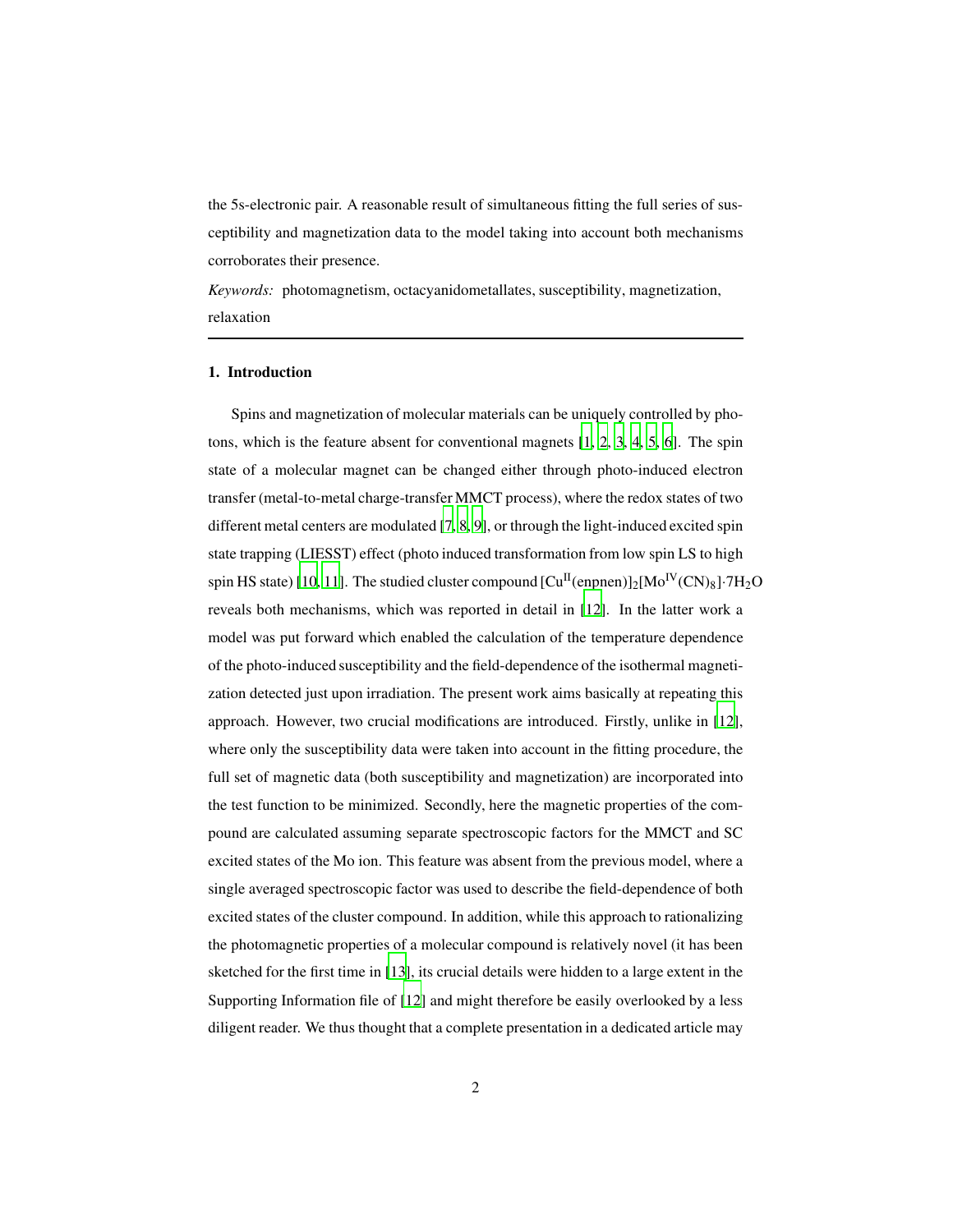the 5s-electronic pair. A reasonable result of simultaneous fitting the full series of susceptibility and magnetization data to the model taking into account both mechanisms corroborates their presence.

*Keywords:* photomagnetism, octacyanidometallates, susceptibility, magnetization, relaxation

#### 1. Introduction

Spins and magnetization of molecular materials can be uniquely controlled by photons, which is the feature absent for conventional magnets [\[1,](#page-13-0) [2](#page-13-1), [3,](#page-13-2) [4](#page-14-0), [5,](#page-14-1) [6](#page-14-2)]. The spin state of a molecular magnet can be changed either through photo-induced electron transfer (metal-to-metal charge-transfer MMCT process), where the redox states of two different metal centers are modulated [\[7,](#page-14-3) [8](#page-14-4), [9\]](#page-14-5), or through the light-induced excited spin state trapping (LIESST) effect (photo induced transformation from low spin LS to high spin HS state) [\[10,](#page-14-6) [11](#page-14-7)]. The studied cluster compound  $\text{[Cu}^{\text{II}}(\text{enpnen})]_2\text{[Mo}^{\text{IV}}(\text{CN})_8]\cdot7\text{H}_2\text{O}$ reveals both mechanisms, which was reported in detail in [\[12](#page-14-8)]. In the latter work a model was put forward which enabled the calculation of the temperature dependence of the photo-induced susceptibility and the field-dependence of the isothermal magnetization detected just upon irradiation. The present work aims basically at repeating this approach. However, two crucial modifications are introduced. Firstly, unlike in [\[12\]](#page-14-8), where only the susceptibility data were taken into account in the fitting procedure, the full set of magnetic data (both susceptibility and magnetization) are incorporated into the test function to be minimized. Secondly, here the magnetic properties of the compound are calculated assuming separate spectroscopic factors for the MMCT and SC excited states of the Mo ion. This feature was absent from the previous model, where a single averaged spectroscopic factor was used to describe the field-dependence of both excited states of the cluster compound. In addition, while this approach to rationalizing the photomagnetic properties of a molecular compound is relatively novel (it has been sketched for the first time in [\[13\]](#page-15-0), its crucial details were hidden to a large extent in the Supporting Information file of [\[12\]](#page-14-8) and might therefore be easily overlooked by a less diligent reader. We thus thought that a complete presentation in a dedicated article may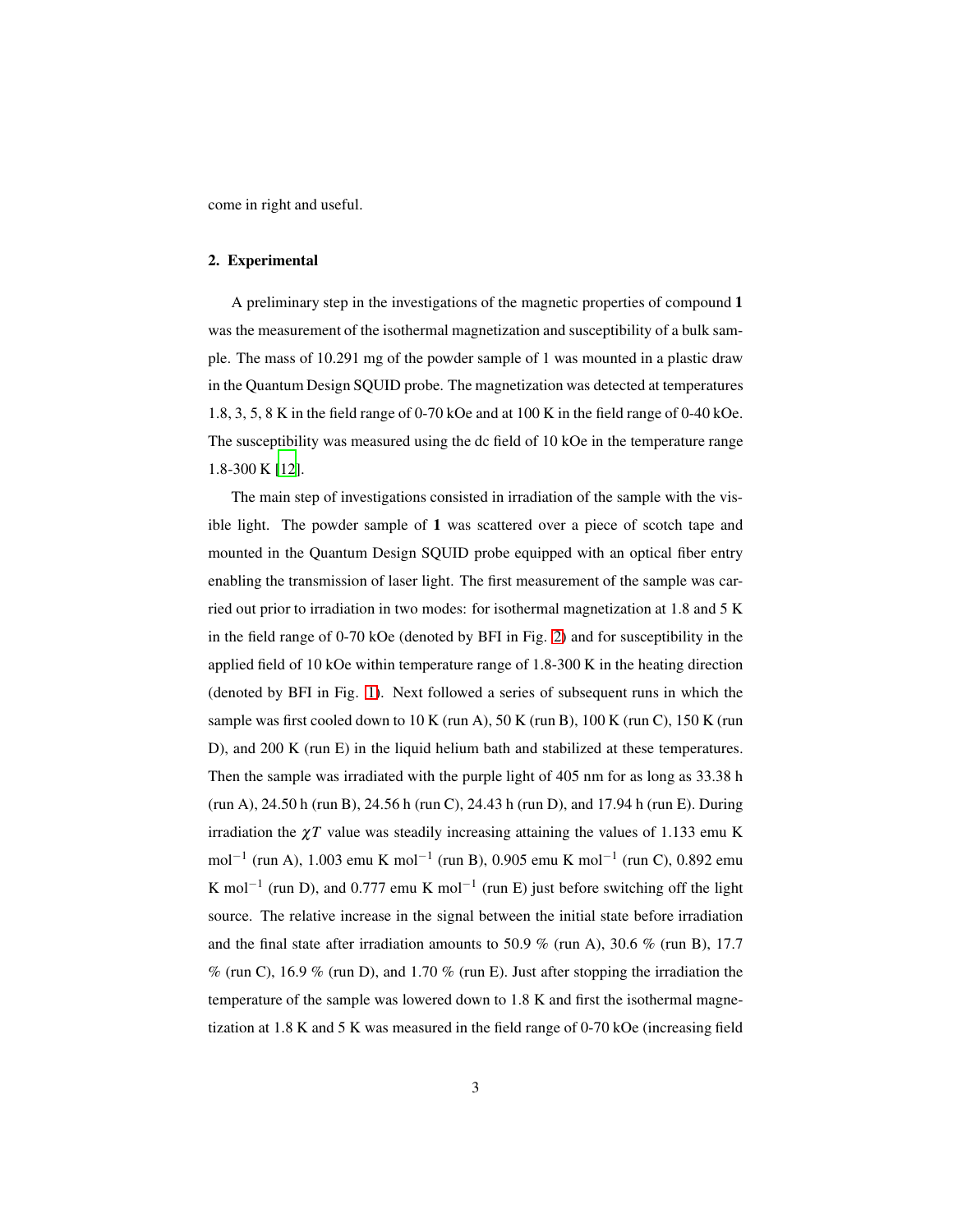come in right and useful.

## 2. Experimental

A preliminary step in the investigations of the magnetic properties of compound 1 was the measurement of the isothermal magnetization and susceptibility of a bulk sample. The mass of 10.291 mg of the powder sample of 1 was mounted in a plastic draw in the Quantum Design SQUID probe. The magnetization was detected at temperatures 1.8, 3, 5, 8 K in the field range of 0-70 kOe and at 100 K in the field range of 0-40 kOe. The susceptibility was measured using the dc field of 10 kOe in the temperature range 1.8-300 K [\[12\]](#page-14-8).

The main step of investigations consisted in irradiation of the sample with the visible light. The powder sample of 1 was scattered over a piece of scotch tape and mounted in the Quantum Design SQUID probe equipped with an optical fiber entry enabling the transmission of laser light. The first measurement of the sample was carried out prior to irradiation in two modes: for isothermal magnetization at 1.8 and 5 K in the field range of 0-70 kOe (denoted by BFI in Fig. [2\)](#page-4-0) and for susceptibility in the applied field of 10 kOe within temperature range of 1.8-300 K in the heating direction (denoted by BFI in Fig. [1\)](#page-3-0). Next followed a series of subsequent runs in which the sample was first cooled down to  $10$  K (run A),  $50$  K (run B),  $100$  K (run C),  $150$  K (run D), and 200 K (run E) in the liquid helium bath and stabilized at these temperatures. Then the sample was irradiated with the purple light of 405 nm for as long as 33.38 h (run A), 24.50 h (run B), 24.56 h (run C), 24.43 h (run D), and 17.94 h (run E). During irradiation the  $\chi T$  value was steadily increasing attaining the values of 1.133 emu K mol<sup>-1</sup> (run A), 1.003 emu K mol<sup>-1</sup> (run B), 0.905 emu K mol<sup>-1</sup> (run C), 0.892 emu K mol<sup>-1</sup> (run D), and 0.777 emu K mol<sup>-1</sup> (run E) just before switching off the light source. The relative increase in the signal between the initial state before irradiation and the final state after irradiation amounts to 50.9 % (run A), 30.6 % (run B), 17.7  $\%$  (run C), 16.9 % (run D), and 1.70 % (run E). Just after stopping the irradiation the temperature of the sample was lowered down to 1.8 K and first the isothermal magnetization at 1.8 K and 5 K was measured in the field range of 0-70 kOe (increasing field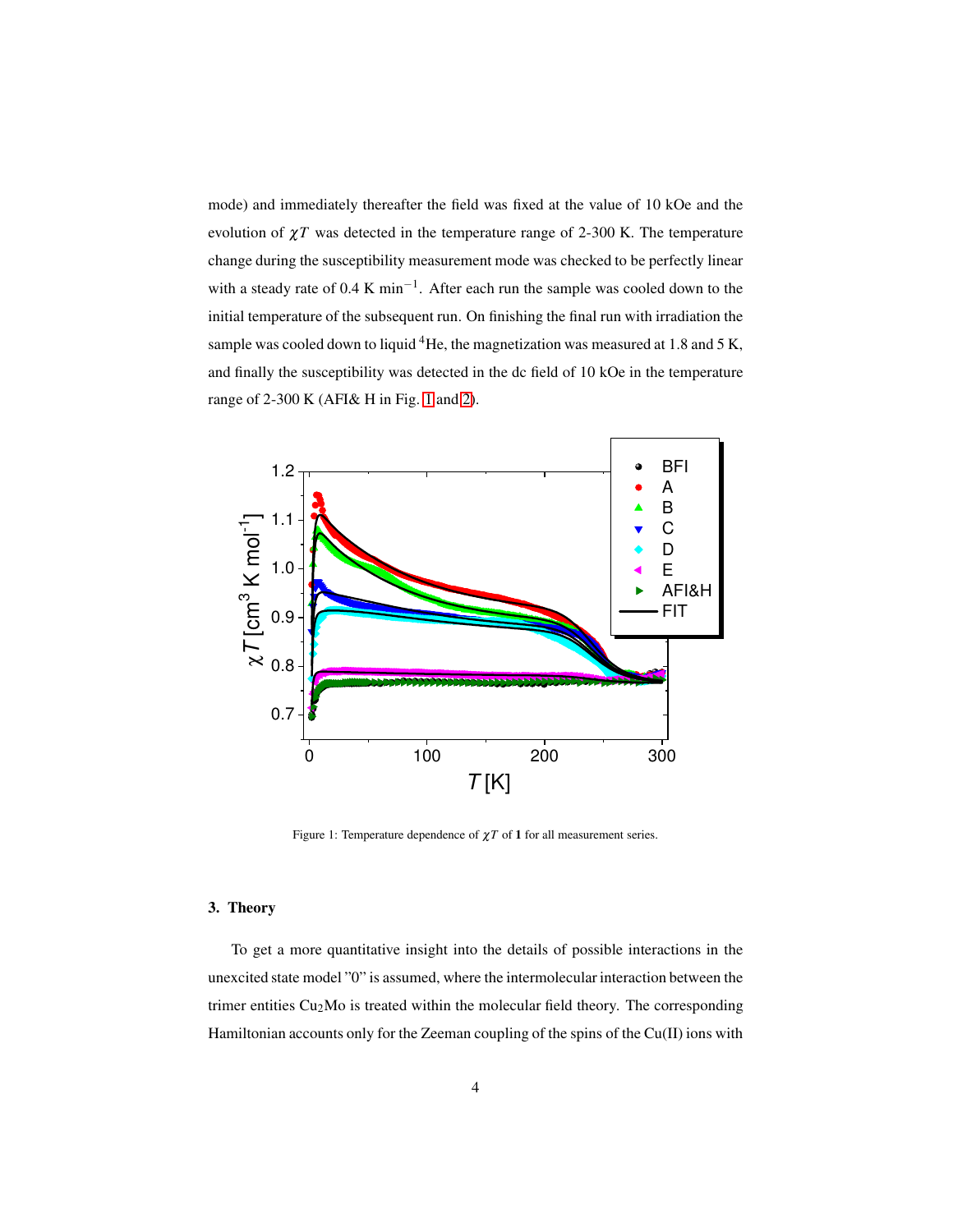mode) and immediately thereafter the field was fixed at the value of 10 kOe and the evolution of  $\chi T$  was detected in the temperature range of 2-300 K. The temperature change during the susceptibility measurement mode was checked to be perfectly linear with a steady rate of 0.4 K min<sup>-1</sup>. After each run the sample was cooled down to the initial temperature of the subsequent run. On finishing the final run with irradiation the sample was cooled down to liquid <sup>4</sup>He, the magnetization was measured at 1.8 and 5 K, and finally the susceptibility was detected in the dc field of 10 kOe in the temperature range of 2-300 K (AFI& H in Fig. [1](#page-3-0) and [2\)](#page-4-0).



<span id="page-3-0"></span>Figure 1: Temperature dependence of  $\chi T$  of 1 for all measurement series.

# 3. Theory

To get a more quantitative insight into the details of possible interactions in the unexcited state model "0" is assumed, where the intermolecular interaction between the trimer entities  $Cu<sub>2</sub>Mo$  is treated within the molecular field theory. The corresponding Hamiltonian accounts only for the Zeeman coupling of the spins of the Cu(II) ions with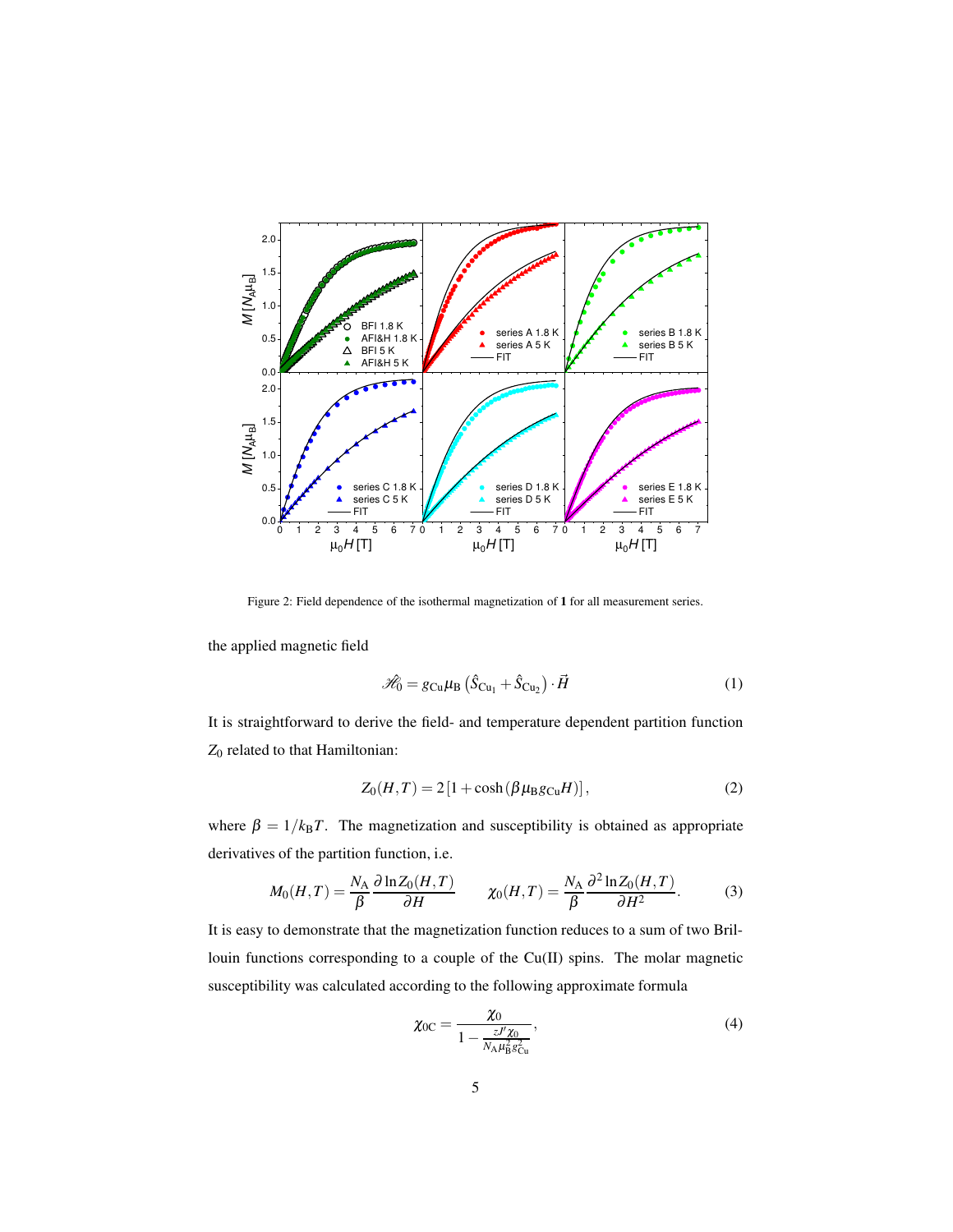

<span id="page-4-0"></span>Figure 2: Field dependence of the isothermal magnetization of 1 for all measurement series.

the applied magnetic field

$$
\hat{\mathcal{H}}_0 = g_{\text{Cu}}\mu_\text{B} \left( \hat{S}_{\text{Cu}_1} + \hat{S}_{\text{Cu}_2} \right) \cdot \vec{H} \tag{1}
$$

It is straightforward to derive the field- and temperature dependent partition function *Z*<sup>0</sup> related to that Hamiltonian:

$$
Z_0(H,T) = 2\left[1 + \cosh\left(\beta \mu_\text{B} g_{\text{Cu}} H\right)\right],\tag{2}
$$

where  $\beta = 1/k_B T$ . The magnetization and susceptibility is obtained as appropriate derivatives of the partition function, i.e.

$$
M_0(H,T) = \frac{N_A}{\beta} \frac{\partial \ln Z_0(H,T)}{\partial H} \qquad \chi_0(H,T) = \frac{N_A}{\beta} \frac{\partial^2 \ln Z_0(H,T)}{\partial H^2}.
$$
 (3)

It is easy to demonstrate that the magnetization function reduces to a sum of two Brillouin functions corresponding to a couple of the Cu(II) spins. The molar magnetic susceptibility was calculated according to the following approximate formula

$$
\chi_{0C} = \frac{\chi_0}{1 - \frac{zJ'\chi_0}{N_A\mu_B^2 g_{\text{Cu}}^2}},\tag{4}
$$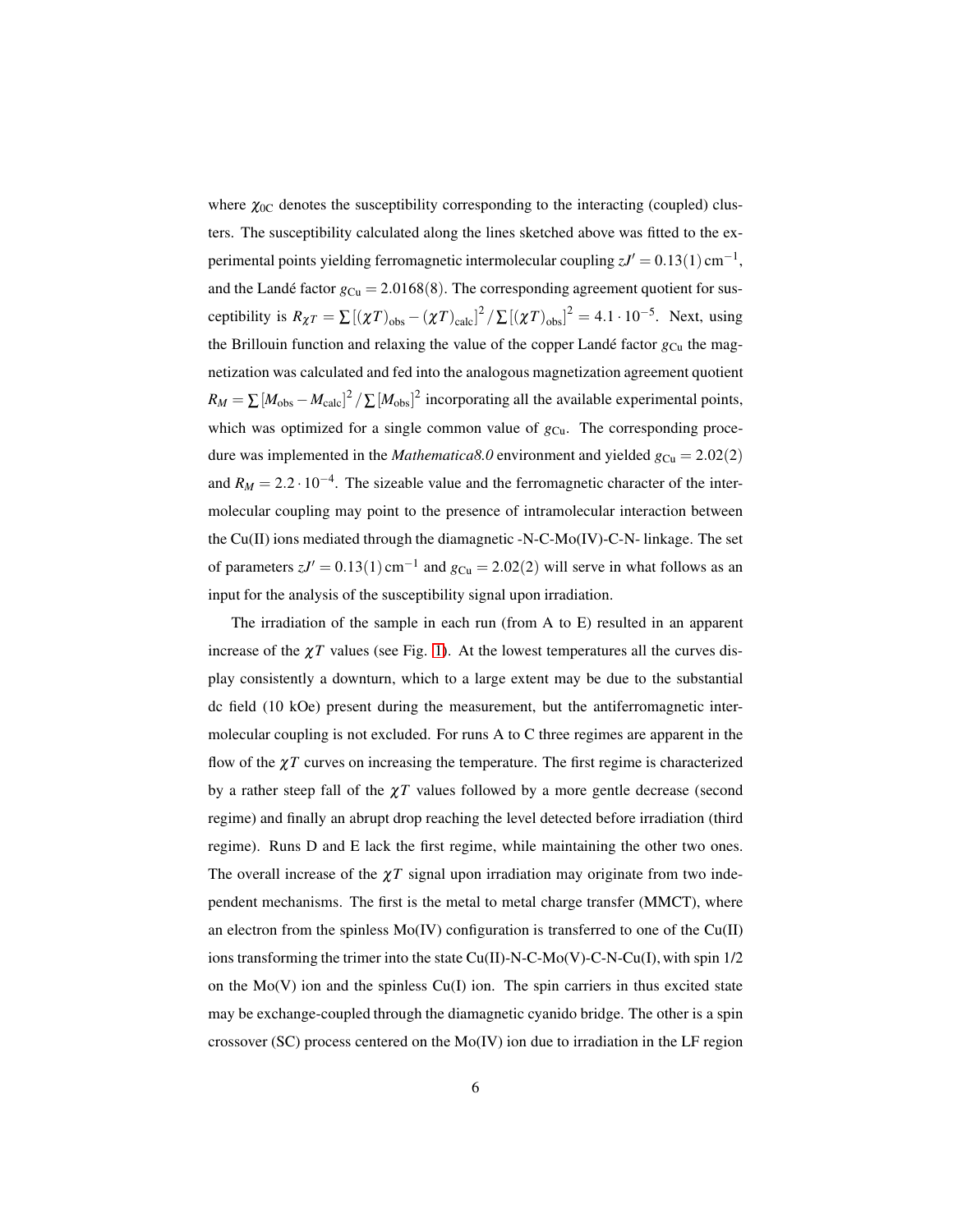where  $\chi_{0C}$  denotes the susceptibility corresponding to the interacting (coupled) clusters. The susceptibility calculated along the lines sketched above was fitted to the experimental points yielding ferromagnetic intermolecular coupling  $zJ' = 0.13(1)$  cm<sup>-1</sup>, and the Landé factor  $g_{Cu} = 2.0168(8)$ . The corresponding agreement quotient for susceptibility is  $R_{\chi}T = \sum [(\chi T)_{obs} - (\chi T)_{calc}]^2 / \sum [(\chi T)_{obs}]^2 = 4.1 \cdot 10^{-5}$ . Next, using the Brillouin function and relaxing the value of the copper Landé factor  $g_{\text{Cu}}$  the magnetization was calculated and fed into the analogous magnetization agreement quotient  $R_M = \sum [M_{obs} - M_{calc}]^2 / \sum [M_{obs}]^2$  incorporating all the available experimental points, which was optimized for a single common value of  $g_{Cu}$ . The corresponding procedure was implemented in the *Mathematica8.0* environment and yielded  $g_{Cu} = 2.02(2)$ and  $R_M = 2.2 \cdot 10^{-4}$ . The sizeable value and the ferromagnetic character of the intermolecular coupling may point to the presence of intramolecular interaction between the Cu(II) ions mediated through the diamagnetic -N-C-Mo(IV)-C-N- linkage. The set of parameters  $zJ' = 0.13(1)$  cm<sup>-1</sup> and  $g_{Cu} = 2.02(2)$  will serve in what follows as an input for the analysis of the susceptibility signal upon irradiation.

The irradiation of the sample in each run (from A to E) resulted in an apparent increase of the  $\chi T$  values (see Fig. [1\)](#page-3-0). At the lowest temperatures all the curves display consistently a downturn, which to a large extent may be due to the substantial dc field (10 kOe) present during the measurement, but the antiferromagnetic intermolecular coupling is not excluded. For runs A to C three regimes are apparent in the flow of the  $\chi T$  curves on increasing the temperature. The first regime is characterized by a rather steep fall of the  $\chi T$  values followed by a more gentle decrease (second regime) and finally an abrupt drop reaching the level detected before irradiation (third regime). Runs D and E lack the first regime, while maintaining the other two ones. The overall increase of the  $\chi T$  signal upon irradiation may originate from two independent mechanisms. The first is the metal to metal charge transfer (MMCT), where an electron from the spinless  $Mo(IV)$  configuration is transferred to one of the  $Cu(II)$ ions transforming the trimer into the state Cu(II)-N-C-Mo(V)-C-N-Cu(I), with spin 1/2 on the  $Mo(V)$  ion and the spinless  $Cu(I)$  ion. The spin carriers in thus excited state may be exchange-coupled through the diamagnetic cyanido bridge. The other is a spin crossover (SC) process centered on the Mo(IV) ion due to irradiation in the LF region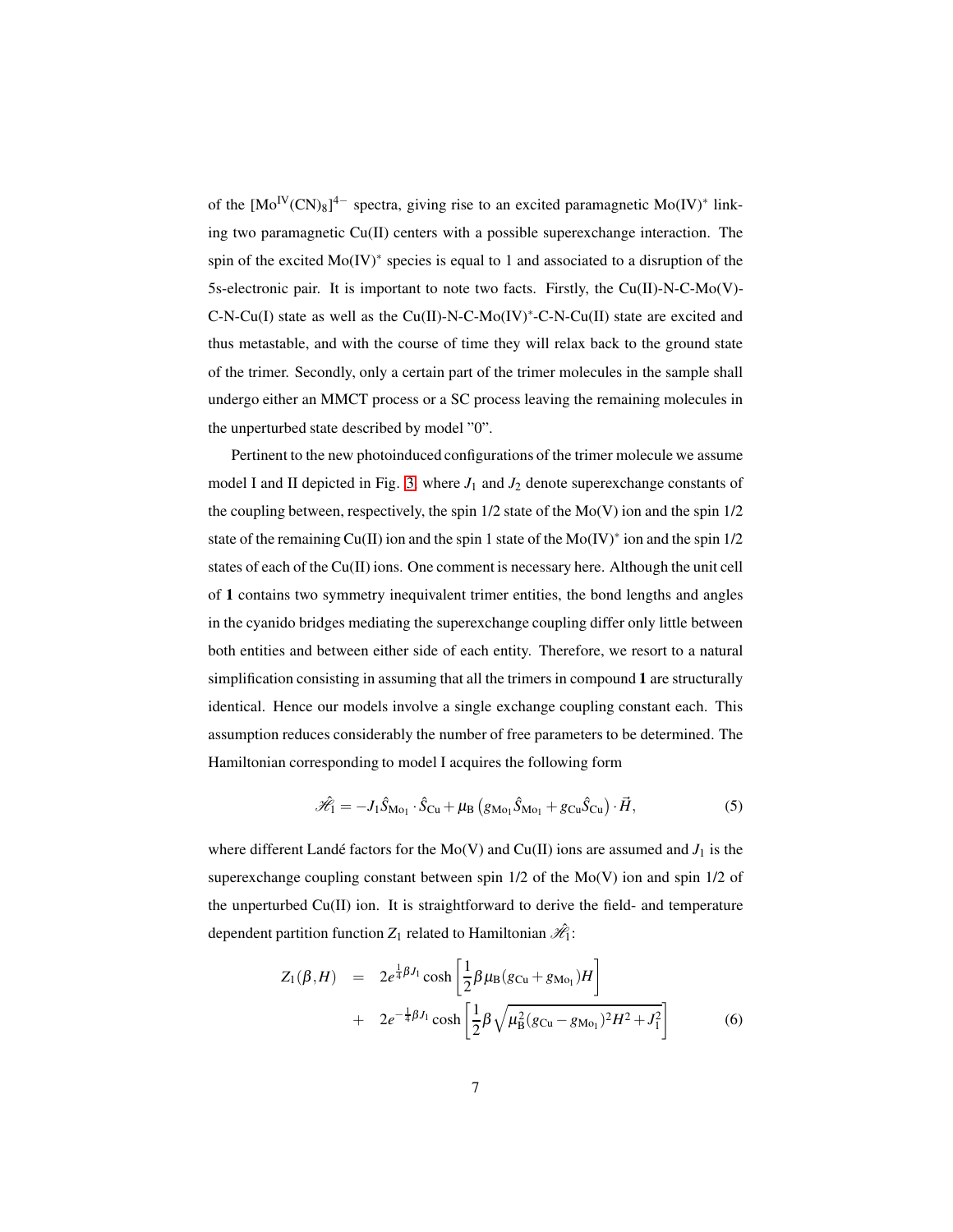of the  $[Mo<sup>IV</sup>(CN)<sub>8</sub>]$ <sup>4-</sup> spectra, giving rise to an excited paramagnetic Mo(IV)<sup>\*</sup> linking two paramagnetic  $Cu(II)$  centers with a possible superexchange interaction. The spin of the excited Mo(IV)<sup>\*</sup> species is equal to 1 and associated to a disruption of the 5s-electronic pair. It is important to note two facts. Firstly, the Cu(II)-N-C-Mo(V)- C-N-Cu(I) state as well as the Cu(II)-N-C-Mo(IV)<sup>∗</sup> -C-N-Cu(II) state are excited and thus metastable, and with the course of time they will relax back to the ground state of the trimer. Secondly, only a certain part of the trimer molecules in the sample shall undergo either an MMCT process or a SC process leaving the remaining molecules in the unperturbed state described by model "0".

Pertinent to the new photoinduced configurations of the trimer molecule we assume model I and II depicted in Fig. [3,](#page-7-0) where  $J_1$  and  $J_2$  denote superexchange constants of the coupling between, respectively, the spin  $1/2$  state of the  $Mo(V)$  ion and the spin  $1/2$ state of the remaining Cu(II) ion and the spin 1 state of the Mo(IV)<sup>∗</sup> ion and the spin 1/2 states of each of the Cu(II) ions. One comment is necessary here. Although the unit cell of 1 contains two symmetry inequivalent trimer entities, the bond lengths and angles in the cyanido bridges mediating the superexchange coupling differ only little between both entities and between either side of each entity. Therefore, we resort to a natural simplification consisting in assuming that all the trimers in compound 1 are structurally identical. Hence our models involve a single exchange coupling constant each. This assumption reduces considerably the number of free parameters to be determined. The Hamiltonian corresponding to model I acquires the following form

$$
\mathcal{\hat{H}}_1 = -J_1 \hat{S}_{\text{Mo}_1} \cdot \hat{S}_{\text{Cu}} + \mu_\text{B} \left( g_{\text{Mo}_1} \hat{S}_{\text{Mo}_1} + g_{\text{Cu}} \hat{S}_{\text{Cu}} \right) \cdot \vec{H},\tag{5}
$$

where different Landé factors for the Mo(V) and Cu(II) ions are assumed and  $J_1$  is the superexchange coupling constant between spin 1/2 of the Mo(V) ion and spin 1/2 of the unperturbed Cu(II) ion. It is straightforward to derive the field- and temperature dependent partition function  $Z_1$  related to Hamiltonian  $\mathcal{H}_1$ :

$$
Z_1(\beta, H) = 2e^{\frac{1}{4}\beta J_1} \cosh\left[\frac{1}{2}\beta\mu_B(g_{Cu} + g_{Mo_1})H\right] + 2e^{-\frac{1}{4}\beta J_1} \cosh\left[\frac{1}{2}\beta\sqrt{\mu_B^2(g_{Cu} - g_{Mo_1})^2H^2 + J_1^2}\right]
$$
(6)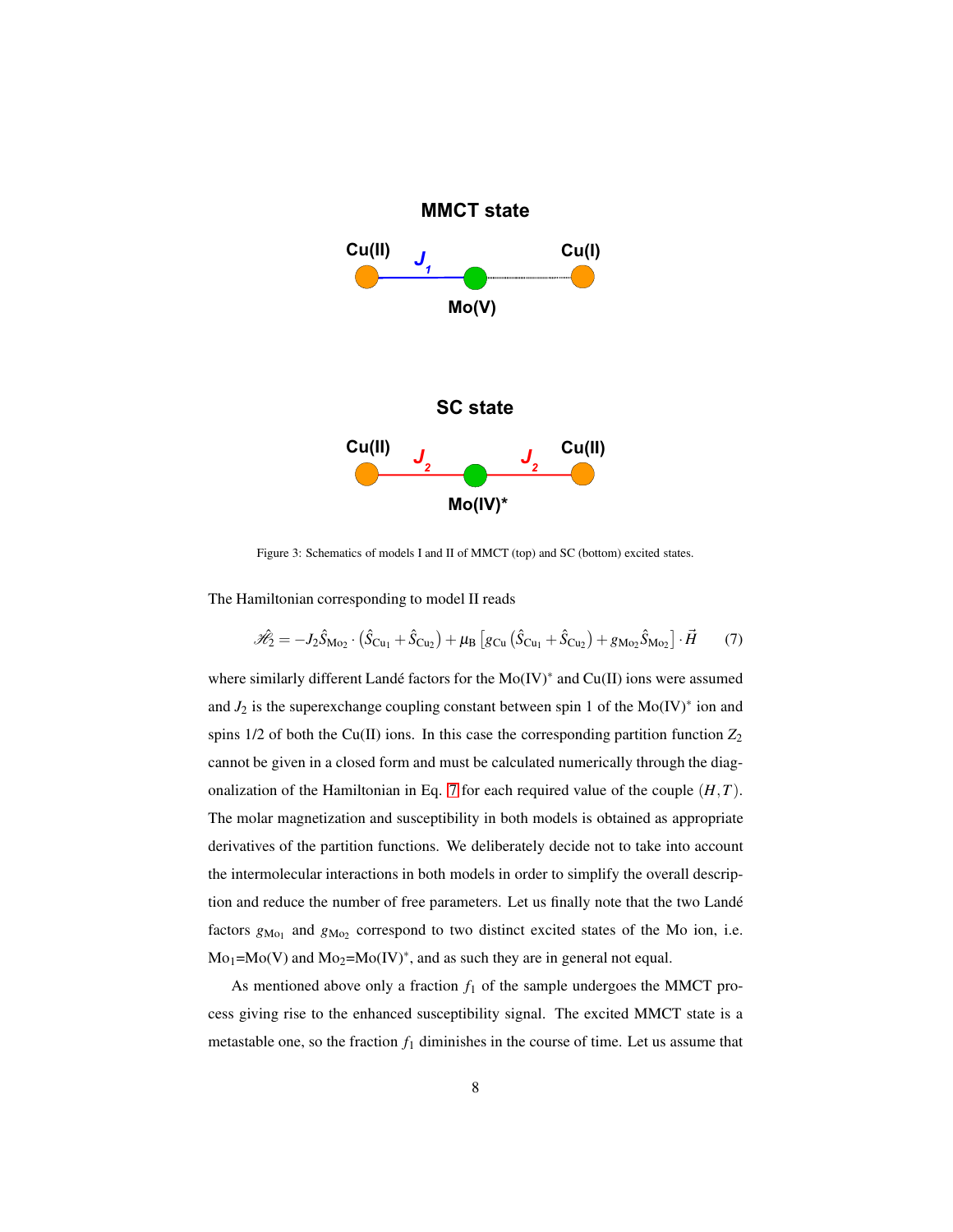

<span id="page-7-1"></span><span id="page-7-0"></span>Figure 3: Schematics of models I and II of MMCT (top) and SC (bottom) excited states.

The Hamiltonian corresponding to model II reads

$$
\hat{\mathcal{H}}_2 = -J_2 \hat{S}_{\text{Mo}_2} \cdot (\hat{S}_{\text{Cu}_1} + \hat{S}_{\text{Cu}_2}) + \mu_\text{B} \left[ g_{\text{Cu}} (\hat{S}_{\text{Cu}_1} + \hat{S}_{\text{Cu}_2}) + g_{\text{Mo}_2} \hat{S}_{\text{Mo}_2} \right] \cdot \vec{H} \tag{7}
$$

where similarly different Landé factors for the Mo(IV)<sup>\*</sup> and Cu(II) ions were assumed and  $J_2$  is the superexchange coupling constant between spin 1 of the Mo(IV)<sup>\*</sup> ion and spins  $1/2$  of both the Cu(II) ions. In this case the corresponding partition function  $Z_2$ cannot be given in a closed form and must be calculated numerically through the diagonalization of the Hamiltonian in Eq. [7](#page-7-1) for each required value of the couple (*H*,*T*). The molar magnetization and susceptibility in both models is obtained as appropriate derivatives of the partition functions. We deliberately decide not to take into account the intermolecular interactions in both models in order to simplify the overall description and reduce the number of free parameters. Let us finally note that the two Landé factors  $g_{\text{Mo}_1}$  and  $g_{\text{Mo}_2}$  correspond to two distinct excited states of the Mo ion, i.e.  $Mo<sub>1</sub>=Mo(V)$  and  $Mo<sub>2</sub>=Mo(IV)^*$ , and as such they are in general not equal.

As mentioned above only a fraction  $f_1$  of the sample undergoes the MMCT process giving rise to the enhanced susceptibility signal. The excited MMCT state is a metastable one, so the fraction  $f_1$  diminishes in the course of time. Let us assume that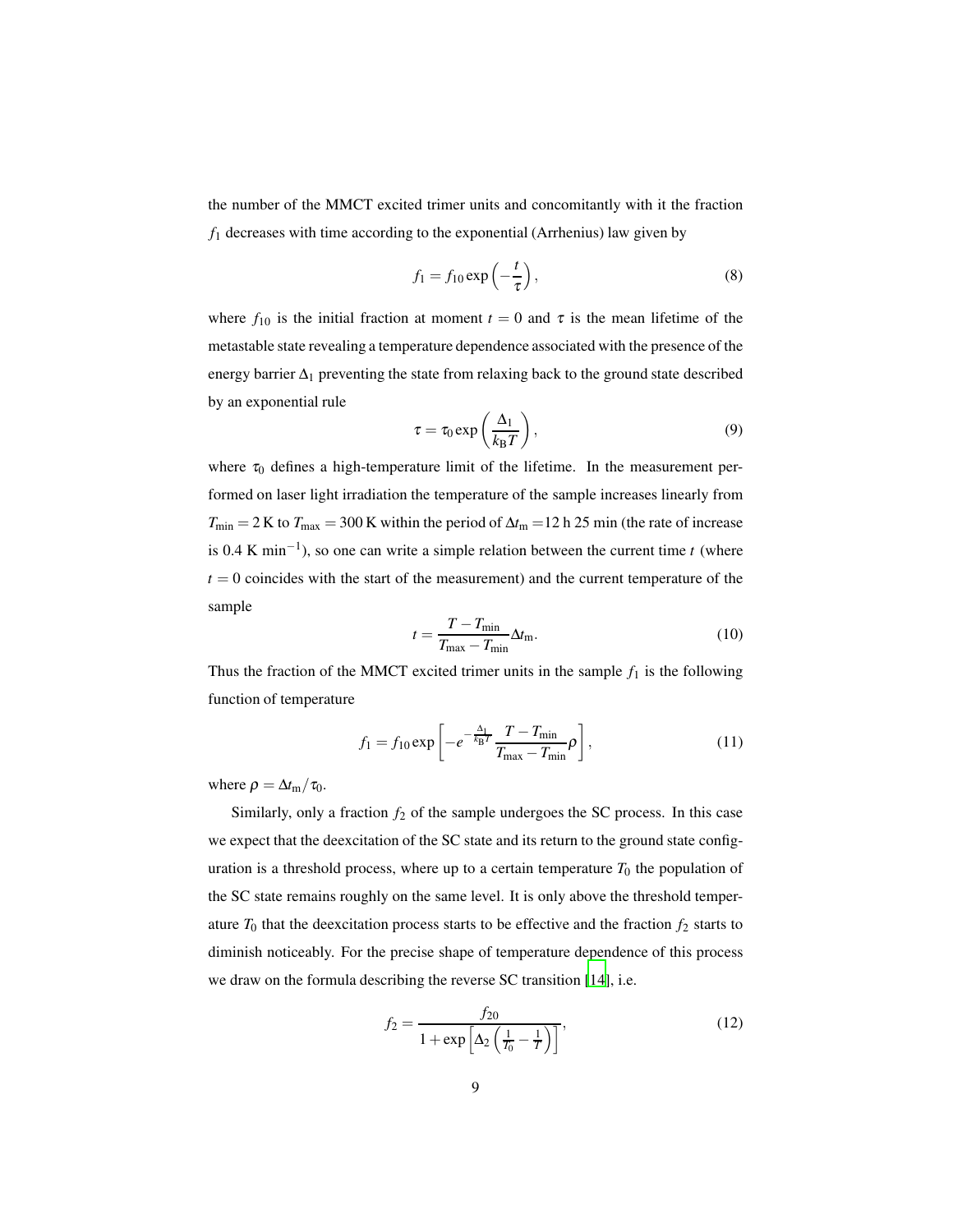the number of the MMCT excited trimer units and concomitantly with it the fraction *f*<sup>1</sup> decreases with time according to the exponential (Arrhenius) law given by

$$
f_1 = f_{10} \exp\left(-\frac{t}{\tau}\right),\tag{8}
$$

where  $f_{10}$  is the initial fraction at moment  $t = 0$  and  $\tau$  is the mean lifetime of the metastable state revealing a temperature dependence associated with the presence of the energy barrier  $\Delta_1$  preventing the state from relaxing back to the ground state described by an exponential rule

$$
\tau = \tau_0 \exp\left(\frac{\Delta_1}{k_B T}\right),\tag{9}
$$

where  $\tau_0$  defines a high-temperature limit of the lifetime. In the measurement performed on laser light irradiation the temperature of the sample increases linearly from  $T_{\text{min}} = 2$  K to  $T_{\text{max}} = 300$  K within the period of  $\Delta t_{\text{m}} = 12$  h 25 min (the rate of increase is 0.4 K min<sup>-1</sup>), so one can write a simple relation between the current time *t* (where  $t = 0$  coincides with the start of the measurement) and the current temperature of the sample

$$
t = \frac{T - T_{\min}}{T_{\max} - T_{\min}} \Delta t_{\max}.
$$
\n(10)

Thus the fraction of the MMCT excited trimer units in the sample  $f_1$  is the following function of temperature

$$
f_1 = f_{10} \exp\left[ -e^{-\frac{\Delta_1}{k_{\rm B}T}} \frac{T - T_{\rm min}}{T_{\rm max} - T_{\rm min}} \rho \right],
$$
 (11)

where  $\rho = \Delta t_{\rm m}/\tau_0$ .

Similarly, only a fraction  $f_2$  of the sample undergoes the SC process. In this case we expect that the deexcitation of the SC state and its return to the ground state configuration is a threshold process, where up to a certain temperature  $T_0$  the population of the SC state remains roughly on the same level. It is only above the threshold temperature  $T_0$  that the deexcitation process starts to be effective and the fraction  $f_2$  starts to diminish noticeably. For the precise shape of temperature dependence of this process we draw on the formula describing the reverse SC transition [\[14\]](#page-15-1), i.e.

$$
f_2 = \frac{f_{20}}{1 + \exp\left[\Delta_2 \left(\frac{1}{T_0} - \frac{1}{T}\right)\right]},
$$
\n(12)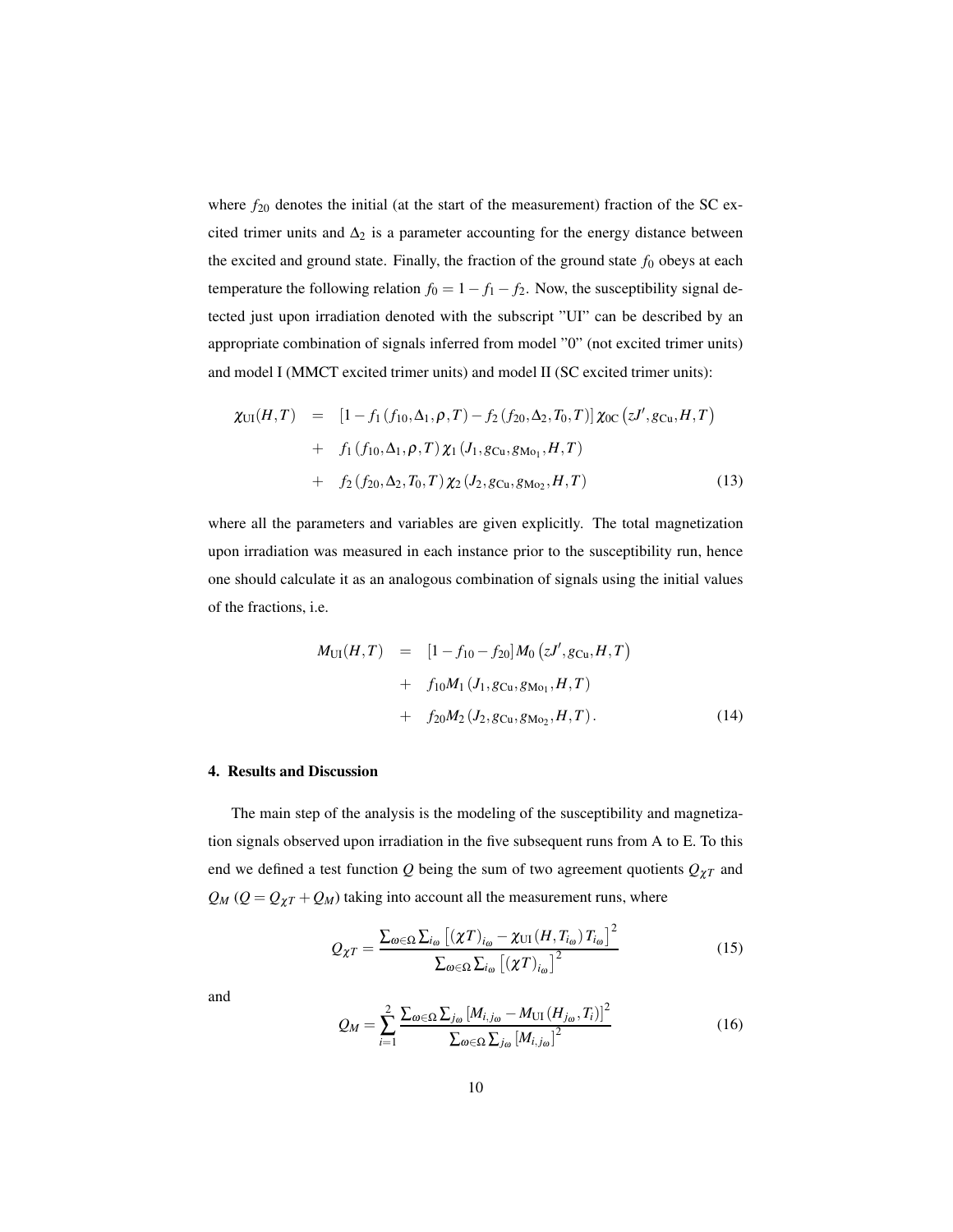where  $f_{20}$  denotes the initial (at the start of the measurement) fraction of the SC excited trimer units and  $\Delta_2$  is a parameter accounting for the energy distance between the excited and ground state. Finally, the fraction of the ground state  $f_0$  obeys at each temperature the following relation  $f_0 = 1 - f_1 - f_2$ . Now, the susceptibility signal detected just upon irradiation denoted with the subscript "UI" can be described by an appropriate combination of signals inferred from model "0" (not excited trimer units) and model I (MMCT excited trimer units) and model II (SC excited trimer units):

$$
\chi_{\text{UI}}(H,T) = [1 - f_1(f_{10}, \Delta_1, \rho, T) - f_2(f_{20}, \Delta_2, T_0, T)] \chi_{\text{OC}}(zJ', g_{\text{Cu}}, H, T)
$$
  
+  $f_1(f_{10}, \Delta_1, \rho, T) \chi_1(J_1, g_{\text{Cu}}, g_{\text{Mo}_1}, H, T)$   
+  $f_2(f_{20}, \Delta_2, T_0, T) \chi_2(J_2, g_{\text{Cu}}, g_{\text{Mo}_2}, H, T)$  (13)

where all the parameters and variables are given explicitly. The total magnetization upon irradiation was measured in each instance prior to the susceptibility run, hence one should calculate it as an analogous combination of signals using the initial values of the fractions, i.e.

$$
M_{\text{UI}}(H,T) = [1 - f_{10} - f_{20}] M_0 (zJ', g_{\text{Cu}}, H, T)
$$
  
+  $f_{10}M_1 (J_1, g_{\text{Cu}}, g_{\text{Mo}_1}, H, T)$   
+  $f_{20}M_2 (J_2, g_{\text{Cu}}, g_{\text{Mo}_2}, H, T)$ . (14)

## 4. Results and Discussion

The main step of the analysis is the modeling of the susceptibility and magnetization signals observed upon irradiation in the five subsequent runs from A to E. To this end we defined a test function *Q* being the sum of two agreement quotients *Q*χ*<sup>T</sup>* and  $Q_M$  ( $Q = Q_{\chi T} + Q_M$ ) taking into account all the measurement runs, where

$$
Q_{\chi T} = \frac{\sum_{\omega \in \Omega} \sum_{i_{\omega}} \left[ (\chi T)_{i_{\omega}} - \chi_{\text{UI}} \left( H, T_{i_{\omega}} \right) T_{i_{\omega}} \right]^2}{\sum_{\omega \in \Omega} \sum_{i_{\omega}} \left[ (\chi T)_{i_{\omega}} \right]^2}
$$
(15)

and

$$
Q_{M} = \sum_{i=1}^{2} \frac{\sum_{\omega \in \Omega} \sum_{j_{\omega}} [M_{i,j_{\omega}} - M_{\text{UI}}(H_{j_{\omega}}, T_{i})]^{2}}{\sum_{\omega \in \Omega} \sum_{j_{\omega}} [M_{i,j_{\omega}}]^{2}}
$$
(16)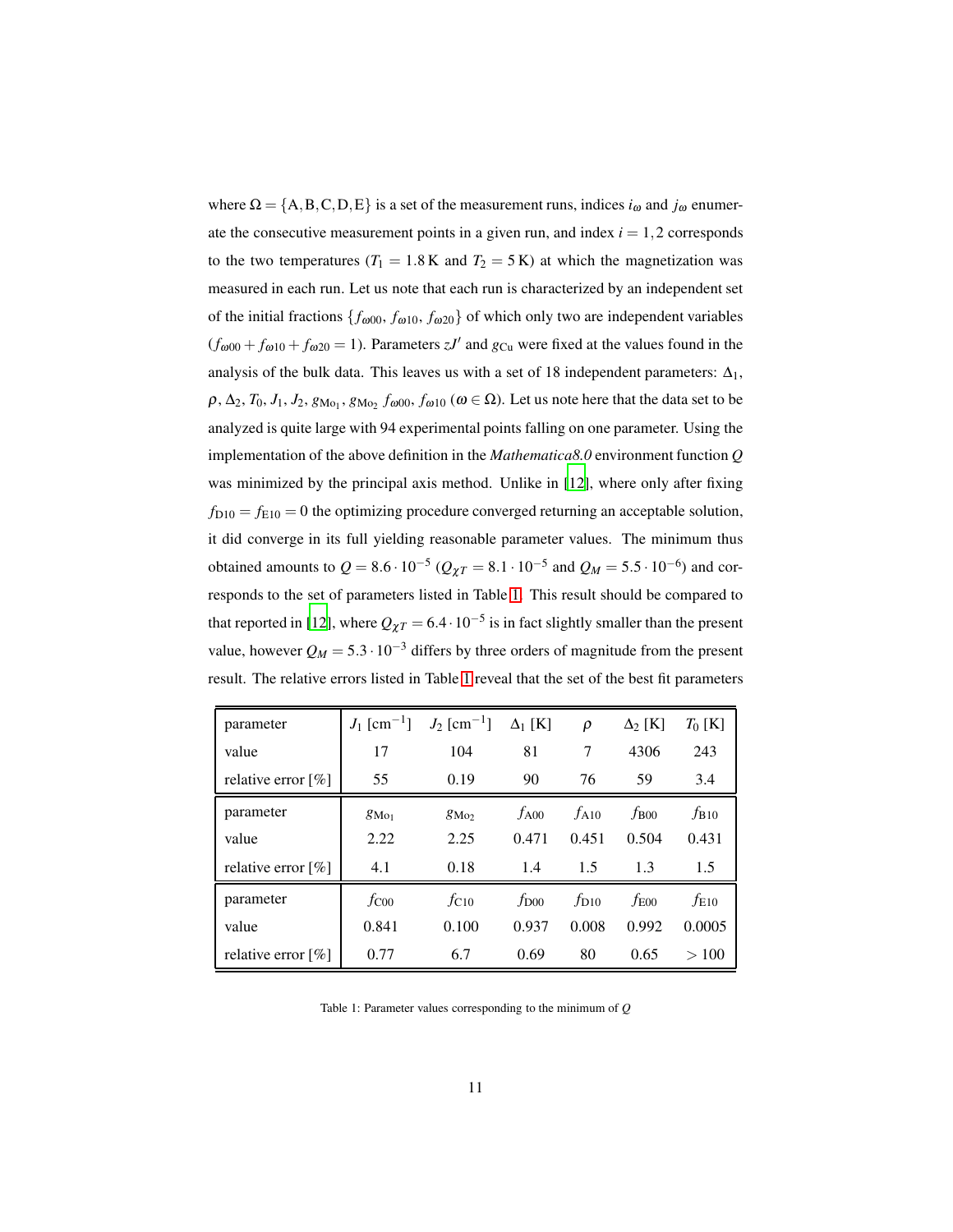where  $\Omega = \{A, B, C, D, E\}$  is a set of the measurement runs, indices  $i_{\omega}$  and  $j_{\omega}$  enumerate the consecutive measurement points in a given run, and index  $i = 1, 2$  corresponds to the two temperatures ( $T_1 = 1.8$  K and  $T_2 = 5$  K) at which the magnetization was measured in each run. Let us note that each run is characterized by an independent set of the initial fractions  $\{f_{\omega 00}, f_{\omega 10}, f_{\omega 20}\}$  of which only two are independent variables  $(f_{\omega00} + f_{\omega10} + f_{\omega20} = 1)$ . Parameters *zJ'* and  $g_{Cu}$  were fixed at the values found in the analysis of the bulk data. This leaves us with a set of 18 independent parameters:  $\Delta_1$ ,  $ρ, Δ<sub>2</sub>, T<sub>0</sub>, J<sub>1</sub>, J<sub>2</sub>, g<sub>Mo<sub>1</sub></sub>, g<sub>Mo<sub>2</sub></sub> f<sub>ω00</sub>, f<sub>ω10</sub> (ω ∈ Ω).$  Let us note here that the data set to be analyzed is quite large with 94 experimental points falling on one parameter. Using the implementation of the above definition in the *Mathematica8.0* environment function *Q* was minimized by the principal axis method. Unlike in [\[12\]](#page-14-8), where only after fixing  $f_{D10} = f_{E10} = 0$  the optimizing procedure converged returning an acceptable solution, it did converge in its full yielding reasonable parameter values. The minimum thus obtained amounts to  $Q = 8.6 \cdot 10^{-5}$  ( $Q_{\chi T} = 8.1 \cdot 10^{-5}$  and  $Q_M = 5.5 \cdot 10^{-6}$ ) and corresponds to the set of parameters listed in Table [1.](#page-10-0) This result should be compared to that reported in [\[12](#page-14-8)], where  $Q_{\chi}T = 6.4 \cdot 10^{-5}$  is in fact slightly smaller than the present value, however  $Q_M = 5.3 \cdot 10^{-3}$  differs by three orders of magnitude from the present result. The relative errors listed in Table [1](#page-10-0) reveal that the set of the best fit parameters

| parameter                         |                | $J_1$ [cm <sup>-1</sup> ] $J_2$ [cm <sup>-1</sup> ] | $\Delta_1$ [K]   | $\rho$    | $\Delta_2$ [K] | $T_0$ [K] |
|-----------------------------------|----------------|-----------------------------------------------------|------------------|-----------|----------------|-----------|
| value                             | 17             | 104                                                 | 81               | 7         | 4306           | 243       |
| relative error $[\%]$             | 55             | 0.19                                                | 90               | 76        | 59             | 3.4       |
| parameter                         | $g_{\rm Mo_1}$ | $g_{\rm Mo}$                                        | $f_{A00}$        | $f_{A10}$ | $f_{B00}$      | $f_{B10}$ |
| value                             | 2.22           | 2.25                                                | 0.471            | 0.451     | 0.504          | 0.431     |
| relative error $\lceil \% \rceil$ | 4.1            | 0.18                                                | 1.4              | 1.5       | 1.3            | 1.5       |
| parameter                         | $f_{\rm CO0}$  | $f_{C10}$                                           | $f_{\text{D}00}$ | $f_{D10}$ | $f_{E00}$      | $f_{E10}$ |
| value                             | 0.841          | 0.100                                               | 0.937            | 0.008     | 0.992          | 0.0005    |
| relative error $[\%]$             | 0.77           | 6.7                                                 | 0.69             | 80        | 0.65           | >100      |

<span id="page-10-0"></span>Table 1: Parameter values corresponding to the minimum of *Q*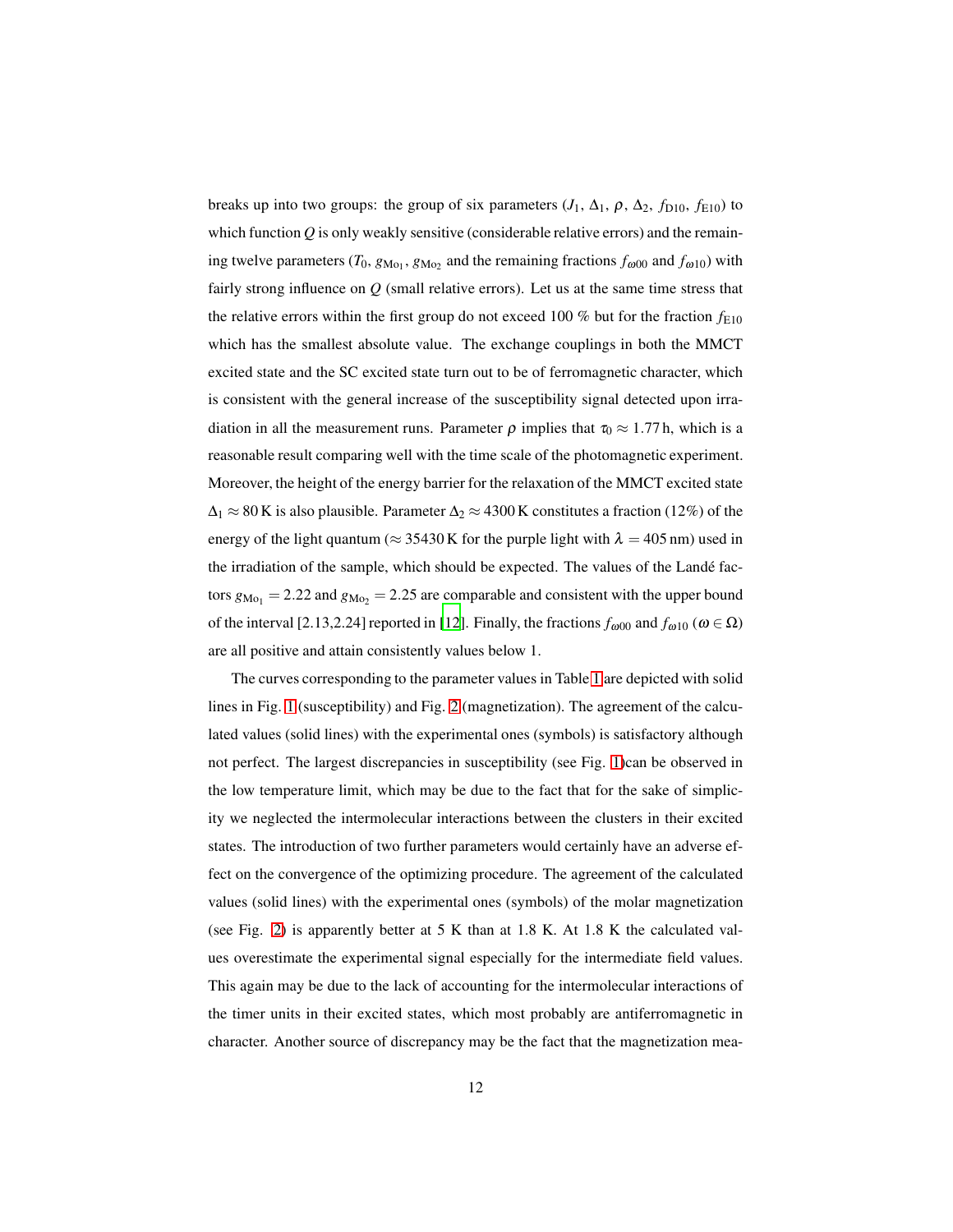breaks up into two groups: the group of six parameters  $(J_1, \Delta_1, \rho, \Delta_2, f_{D10}, f_{E10})$  to which function *Q* is only weakly sensitive (considerable relative errors) and the remaining twelve parameters (*T*<sub>0</sub>,  $g_{\text{Mo}_1}$ ,  $g_{\text{Mo}_2}$  and the remaining fractions  $f_{\omega 00}$  and  $f_{\omega 10}$ ) with fairly strong influence on *Q* (small relative errors). Let us at the same time stress that the relative errors within the first group do not exceed 100 % but for the fraction  $f_{E10}$ which has the smallest absolute value. The exchange couplings in both the MMCT excited state and the SC excited state turn out to be of ferromagnetic character, which is consistent with the general increase of the susceptibility signal detected upon irradiation in all the measurement runs. Parameter  $\rho$  implies that  $\tau_0 \approx 1.77$  h, which is a reasonable result comparing well with the time scale of the photomagnetic experiment. Moreover, the height of the energy barrier for the relaxation of the MMCT excited state  $\Delta_1 \approx 80$  K is also plausible. Parameter  $\Delta_2 \approx 4300$  K constitutes a fraction (12%) of the energy of the light quantum ( $\approx$  35430 K for the purple light with  $\lambda$  = 405 nm) used in the irradiation of the sample, which should be expected. The values of the Landé factors  $g_{\text{Mo}_1} = 2.22$  and  $g_{\text{Mo}_2} = 2.25$  are comparable and consistent with the upper bound of the interval [2.13,2.24] reported in [\[12\]](#page-14-8). Finally, the fractions  $f_{\omega 00}$  and  $f_{\omega 10}$  ( $\omega \in \Omega$ ) are all positive and attain consistently values below 1.

The curves corresponding to the parameter values in Table [1](#page-10-0) are depicted with solid lines in Fig. [1](#page-3-0) (susceptibility) and Fig. [2](#page-4-0) (magnetization). The agreement of the calculated values (solid lines) with the experimental ones (symbols) is satisfactory although not perfect. The largest discrepancies in susceptibility (see Fig. [1\)](#page-3-0)can be observed in the low temperature limit, which may be due to the fact that for the sake of simplicity we neglected the intermolecular interactions between the clusters in their excited states. The introduction of two further parameters would certainly have an adverse effect on the convergence of the optimizing procedure. The agreement of the calculated values (solid lines) with the experimental ones (symbols) of the molar magnetization (see Fig. [2\)](#page-4-0) is apparently better at 5 K than at 1.8 K. At 1.8 K the calculated values overestimate the experimental signal especially for the intermediate field values. This again may be due to the lack of accounting for the intermolecular interactions of the timer units in their excited states, which most probably are antiferromagnetic in character. Another source of discrepancy may be the fact that the magnetization mea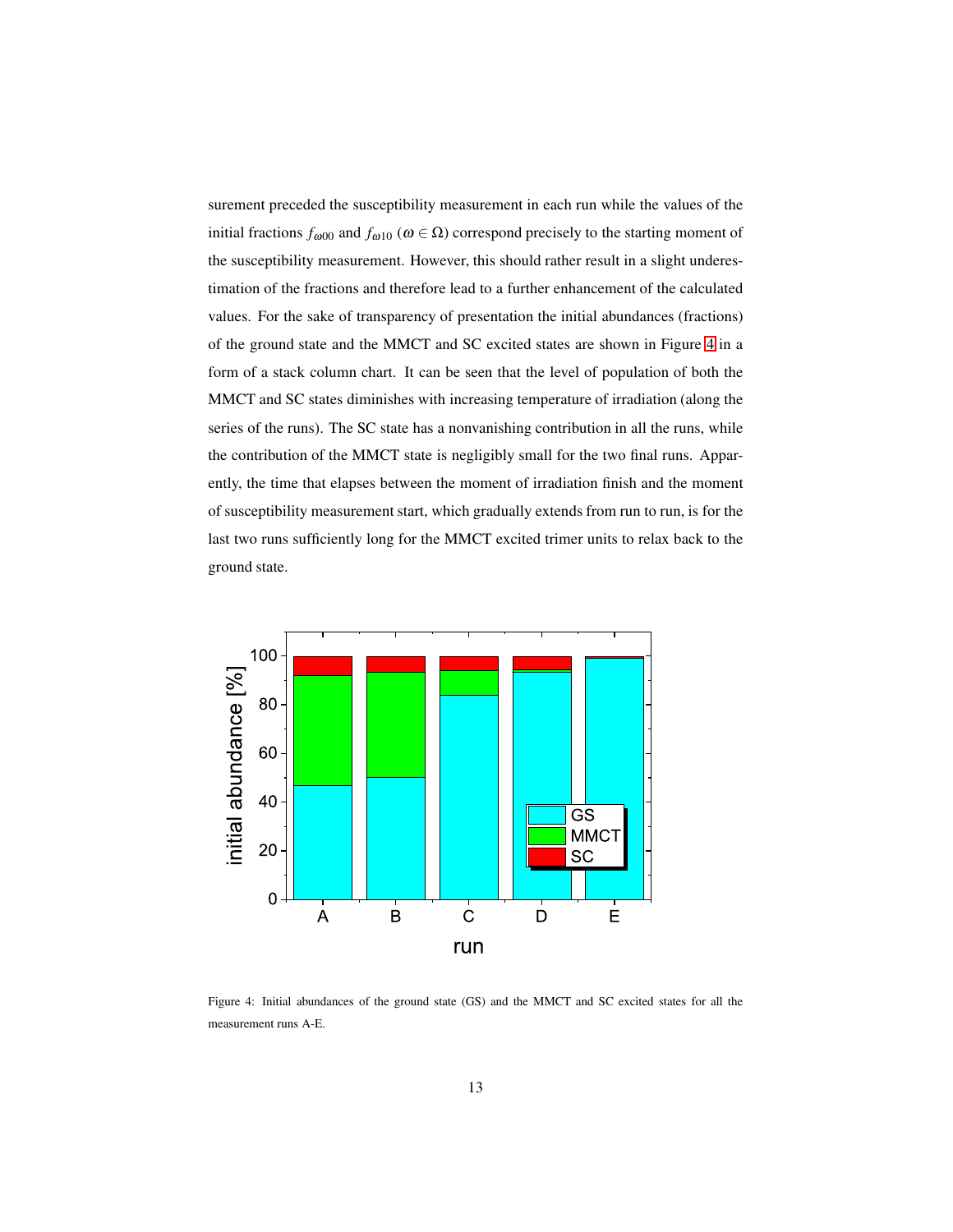surement preceded the susceptibility measurement in each run while the values of the initial fractions  $f_{\omega 00}$  and  $f_{\omega 10}$  ( $\omega \in \Omega$ ) correspond precisely to the starting moment of the susceptibility measurement. However, this should rather result in a slight underestimation of the fractions and therefore lead to a further enhancement of the calculated values. For the sake of transparency of presentation the initial abundances (fractions) of the ground state and the MMCT and SC excited states are shown in Figure [4](#page-12-0) in a form of a stack column chart. It can be seen that the level of population of both the MMCT and SC states diminishes with increasing temperature of irradiation (along the series of the runs). The SC state has a nonvanishing contribution in all the runs, while the contribution of the MMCT state is negligibly small for the two final runs. Apparently, the time that elapses between the moment of irradiation finish and the moment of susceptibility measurement start, which gradually extends from run to run, is for the last two runs sufficiently long for the MMCT excited trimer units to relax back to the ground state.



<span id="page-12-0"></span>Figure 4: Initial abundances of the ground state (GS) and the MMCT and SC excited states for all the measurement runs A-E.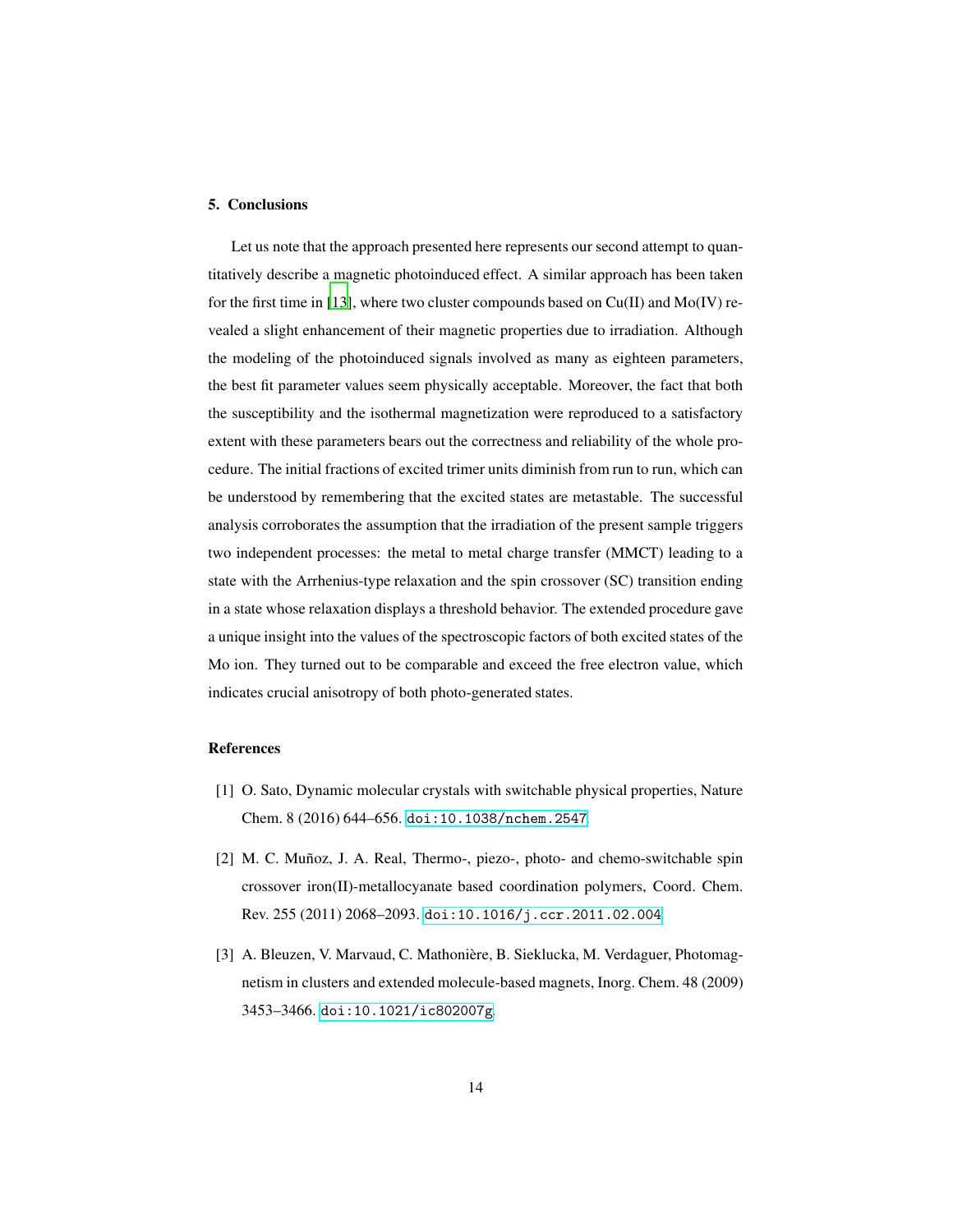## 5. Conclusions

Let us note that the approach presented here represents our second attempt to quantitatively describe a magnetic photoinduced effect. A similar approach has been taken for the first time in [\[13](#page-15-0)], where two cluster compounds based on  $Cu(II)$  and  $Mo(IV)$  revealed a slight enhancement of their magnetic properties due to irradiation. Although the modeling of the photoinduced signals involved as many as eighteen parameters, the best fit parameter values seem physically acceptable. Moreover, the fact that both the susceptibility and the isothermal magnetization were reproduced to a satisfactory extent with these parameters bears out the correctness and reliability of the whole procedure. The initial fractions of excited trimer units diminish from run to run, which can be understood by remembering that the excited states are metastable. The successful analysis corroborates the assumption that the irradiation of the present sample triggers two independent processes: the metal to metal charge transfer (MMCT) leading to a state with the Arrhenius-type relaxation and the spin crossover (SC) transition ending in a state whose relaxation displays a threshold behavior. The extended procedure gave a unique insight into the values of the spectroscopic factors of both excited states of the Mo ion. They turned out to be comparable and exceed the free electron value, which indicates crucial anisotropy of both photo-generated states.

## References

- <span id="page-13-0"></span>[1] O. Sato, Dynamic molecular crystals with switchable physical properties, Nature Chem. 8 (2016) 644–656. [doi:10.1038/nchem.2547](http://dx.doi.org/10.1038/nchem.2547).
- <span id="page-13-1"></span>[2] M. C. Muñoz, J. A. Real, Thermo-, piezo-, photo- and chemo-switchable spin crossover iron(II)-metallocyanate based coordination polymers, Coord. Chem. Rev. 255 (2011) 2068–2093. [doi:10.1016/j.ccr.2011.02.004](http://dx.doi.org/10.1016/j.ccr.2011.02.004).
- <span id="page-13-2"></span>[3] A. Bleuzen, V. Marvaud, C. Mathonière, B. Sieklucka, M. Verdaguer, Photomagnetism in clusters and extended molecule-based magnets, Inorg. Chem. 48 (2009) 3453–3466. [doi:10.1021/ic802007g](http://dx.doi.org/10.1021/ic802007g).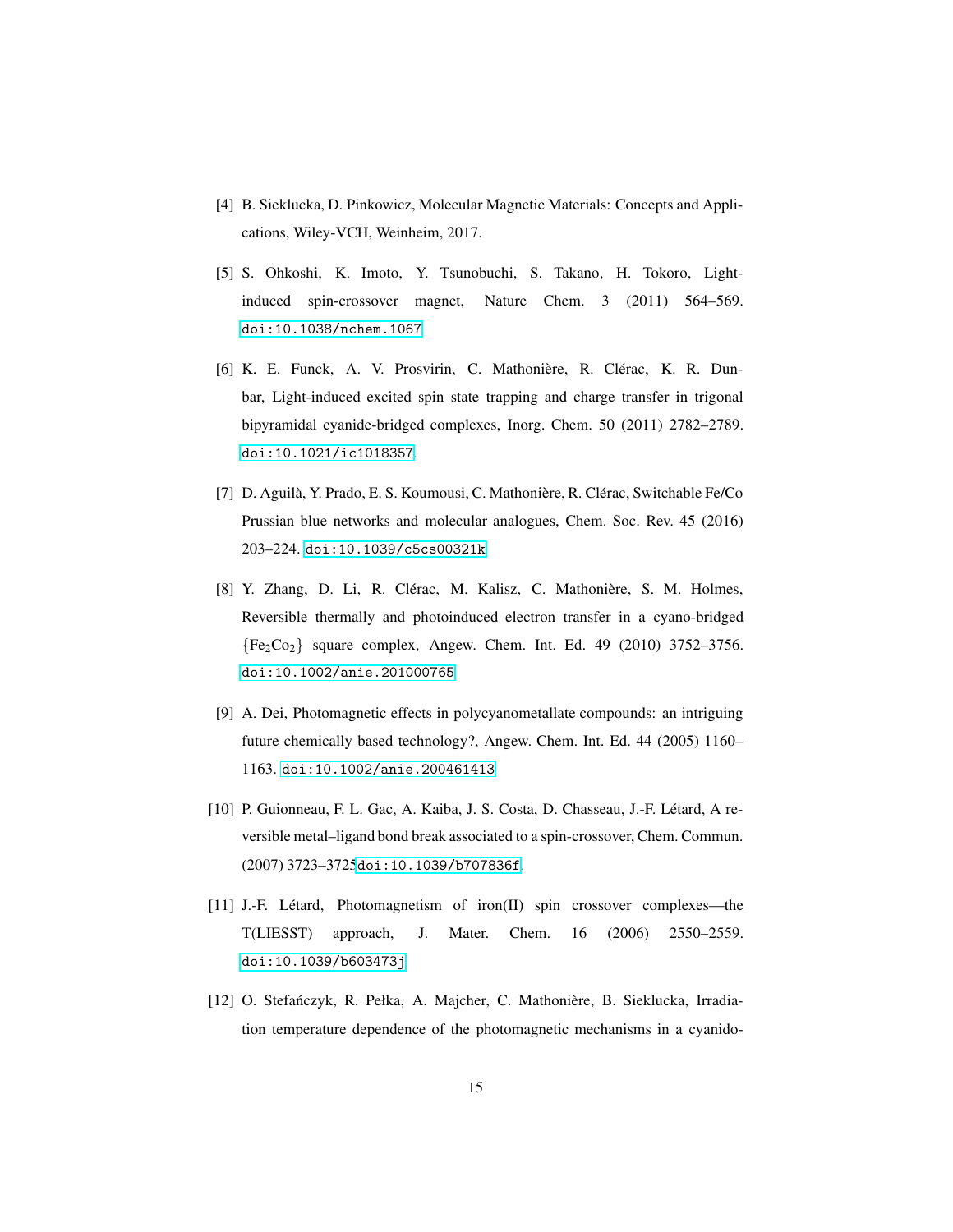- <span id="page-14-0"></span>[4] B. Sieklucka, D. Pinkowicz, Molecular Magnetic Materials: Concepts and Applications, Wiley-VCH, Weinheim, 2017.
- <span id="page-14-1"></span>[5] S. Ohkoshi, K. Imoto, Y. Tsunobuchi, S. Takano, H. Tokoro, Lightinduced spin-crossover magnet, Nature Chem. 3 (2011) 564–569. [doi:10.1038/nchem.1067](http://dx.doi.org/10.1038/nchem.1067).
- <span id="page-14-2"></span>[6] K. E. Funck, A. V. Prosvirin, C. Mathonière, R. Clérac, K. R. Dunbar, Light-induced excited spin state trapping and charge transfer in trigonal bipyramidal cyanide-bridged complexes, Inorg. Chem. 50 (2011) 2782–2789. [doi:10.1021/ic1018357](http://dx.doi.org/10.1021/ic1018357).
- <span id="page-14-3"></span>[7] D. Aguilà, Y. Prado, E. S. Koumousi, C. Mathonière, R. Clérac, Switchable Fe/Co Prussian blue networks and molecular analogues, Chem. Soc. Rev. 45 (2016) 203–224. [doi:10.1039/c5cs00321k](http://dx.doi.org/10.1039/c5cs00321k).
- <span id="page-14-4"></span>[8] Y. Zhang, D. Li, R. Clérac, M. Kalisz, C. Mathonière, S. M. Holmes, Reversible thermally and photoinduced electron transfer in a cyano-bridged  ${Fe_2Co_2}$  square complex, Angew. Chem. Int. Ed. 49 (2010) 3752-3756. [doi:10.1002/anie.201000765](http://dx.doi.org/10.1002/anie.201000765).
- <span id="page-14-5"></span>[9] A. Dei, Photomagnetic effects in polycyanometallate compounds: an intriguing future chemically based technology?, Angew. Chem. Int. Ed. 44 (2005) 1160– 1163. [doi:10.1002/anie.200461413](http://dx.doi.org/10.1002/anie.200461413).
- <span id="page-14-6"></span>[10] P. Guionneau, F. L. Gac, A. Kaiba, J. S. Costa, D. Chasseau, J.-F. L´etard, A reversible metal–ligand bond break associated to a spin-crossover, Chem. Commun. (2007) 3723–3725[doi:10.1039/b707836f](http://dx.doi.org/10.1039/b707836f).
- <span id="page-14-7"></span>[11] J.-F. Létard, Photomagnetism of iron(II) spin crossover complexes—the T(LIESST) approach, J. Mater. Chem. 16 (2006) 2550–2559. [doi:10.1039/b603473j](http://dx.doi.org/10.1039/b603473j).
- <span id="page-14-8"></span>[12] O. Stefańczyk, R. Pełka, A. Majcher, C. Mathonière, B. Sieklucka, Irradiation temperature dependence of the photomagnetic mechanisms in a cyanido-